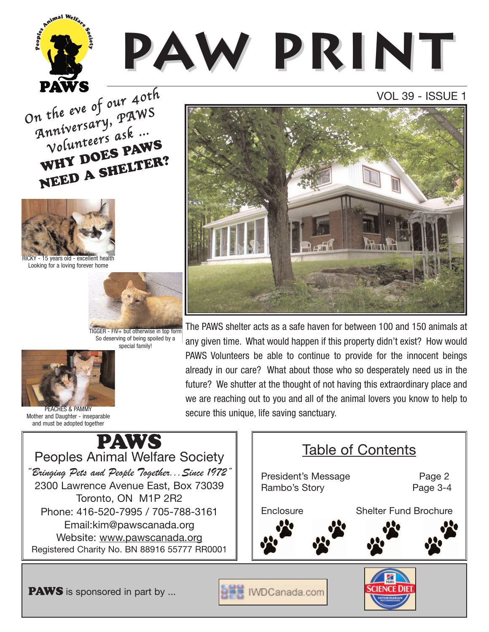On the eve of our 40th n the eve of paws<br>Anniversary, paws nniversur<br>Volunteers ask …<br>Volunteers **PAV WHY DOES PAWS NEED A SHELTER?**



Environ Welfa

15 years old - excellent health Looking for a loving forever home



TIGGER - FIV+ but otherwise in top form So deserving of being spoiled by a special family!



PEACHES & PAMMY Mother and Daughter - inseparable and must be adopted together



## VOL 39 - ISSUE 1



The PAWS shelter acts as a safe haven for between 100 and 150 animals at any given time. What would happen if this property didn't exist? How would PAWS Volunteers be able to continue to provide for the innocent beings already in our care? What about those who so desperately need us in the future? We shutter at the thought of not having this extraordinary place and we are reaching out to you and all of the animal lovers you know to help to secure this unique, life saving sanctuary.



**PAWS** is sponsored in part by ...

IWDCanada.com

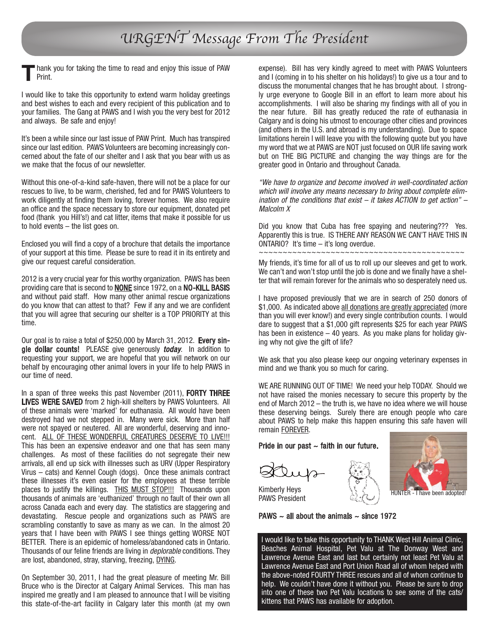# URGENT Message From The President

hank you for taking the time to read and enjoy this issue of PAW Print. **T**

I would like to take this opportunity to extend warm holiday greetings and best wishes to each and every recipient of this publication and to your families. The Gang at PAWS and I wish you the very best for 2012 and always. Be safe and enjoy!

It's been a while since our last issue of PAW Print. Much has transpired since our last edition. PAWS Volunteers are becoming increasingly concerned about the fate of our shelter and I ask that you bear with us as we make that the focus of our newsletter.

Without this one-of-a-kind safe-haven, there will not be a place for our rescues to live, to be warm, cherished, fed and for PAWS Volunteers to work diligently at finding them loving, forever homes. We also require an office and the space necessary to store our equipment, donated pet food (thank you Hill's!) and cat litter, items that make it possible for us to hold events – the list goes on.

Enclosed you will find a copy of a brochure that details the importance of your support at this time. Please be sure to read it in its entirety and give our request careful consideration.

2012 is a very crucial year for this worthy organization. PAWS has been providing care that is second to **NONE** since 1972, on a NO-KILL BASIS and without paid staff. How many other animal rescue organizations do you know that can attest to that? Few if any and we are confident that you will agree that securing our shelter is a TOP PRIORITY at this time.

Our goal is to raise a total of \$250,000 by March 31, 2012. Every single dollar counts! PLEASE give generously *today*. In addition to requesting your support, we are hopeful that you will network on our behalf by encouraging other animal lovers in your life to help PAWS in our time of need.

In a span of three weeks this past November (2011), FORTY THREE LIVES WERE SAVED from 2 high-kill shelters by PAWS Volunteers. All of these animals were 'marked' for euthanasia. All would have been destroyed had we not stepped in. Many were sick. More than half were not spayed or neutered. All are wonderful, deserving and innocent. ALL OF THESE WONDERFUL CREATURES DESERVE TO LIVE!!! This has been an expensive endeavor and one that has seen many challenges. As most of these facilities do not segregate their new arrivals, all end up sick with illnesses such as URV (Upper Respiratory Virus – cats) and Kennel Cough (dogs). Once these animals contract these illnesses it's even easier for the employees at these terrible places to justify the killings. THIS MUST STOP !!! Thousands upon thousands of animals are 'euthanized' through no fault of their own all across Canada each and every day. The statistics are staggering and devastating. Rescue people and organizations such as PAWS are scrambling constantly to save as many as we can. In the almost 20 years that I have been with PAWS I see things getting WORSE NOT BETTER. There is an epidemic of homeless/abandoned cats in Ontario. Thousands of our feline friends are living in deplorable conditions. They are lost, abandoned, stray, starving, freezing, DYING.

On September 30, 2011, I had the great pleasure of meeting Mr. Bill Bruce who is the Director at Calgary Animal Services. This man has inspired me greatly and I am pleased to announce that I will be visiting this state-of-the-art facility in Calgary later this month (at my own

expense). Bill has very kindly agreed to meet with PAWS Volunteers and I (coming in to his shelter on his holidays!) to give us a tour and to discuss the monumental changes that he has brought about. I strongly urge everyone to Google Bill in an effort to learn more about his accomplishments. I will also be sharing my findings with all of you in the near future. Bill has greatly reduced the rate of euthanasia in Calgary and is doing his utmost to encourage other cities and provinces (and others in the U.S. and abroad is my understanding). Due to space limitations herein I will leave you with the following quote but you have my word that we at PAWS are NOT just focused on OUR life saving work but on THE BIG PICTURE and changing the way things are for the greater good in Ontario and throughout Canada.

"We have to organize and become involved in well-coordinated action which will involve any means necessary to bring about complete elimination of the conditions that exist – it takes ACTION to get action" – Malcolm X

Did you know that Cuba has free spaying and neutering??? Yes. Apparently this is true. IS THERE ANY REASON WE CAN'T HAVE THIS IN ONTARIO? It's time – it's long overdue. ~~~~~~~~~~~~~~~~~~~~~~~~~~~~~~~~~~~~~~~~~~~

My friends, it's time for all of us to roll up our sleeves and get to work. We can't and won't stop until the job is done and we finally have a shelter that will remain forever for the animals who so desperately need us.

I have proposed previously that we are in search of 250 donors of \$1,000. As indicated above all donations are greatly appreciated (more than you will ever know!) and every single contribution counts. I would dare to suggest that a \$1,000 gift represents \$25 for each year PAWS has been in existence – 40 years. As you make plans for holiday giving why not give the gift of life?

We ask that you also please keep our ongoing veterinary expenses in mind and we thank you so much for caring.

WE ARE RUNNING OUT OF TIME! We need your help TODAY. Should we not have raised the monies necessary to secure this property by the end of March 2012 – the truth is, we have no idea where we will house these deserving beings. Surely there are enough people who care about PAWS to help make this happen ensuring this safe haven will remain FOREVER.

Pride in our past  $\sim$  faith in our future.





Kimberly Heys PAWS President

PAWS  $\sim$  all about the animals  $\sim$  since 1972

I would like to take this opportunity to THANK West Hill Animal Clinic, Beaches Animal Hospital, Pet Valu at The Donway West and Lawrence Avenue East and last but certainly not least Pet Valu at Lawrence Avenue East and Port Union Road all of whom helped with the above-noted FOURTY THREE rescues and all of whom continue to help. We couldn't have done it without you. Please be sure to drop into one of these two Pet Valu locations to see some of the cats/ kittens that PAWS has available for adoption.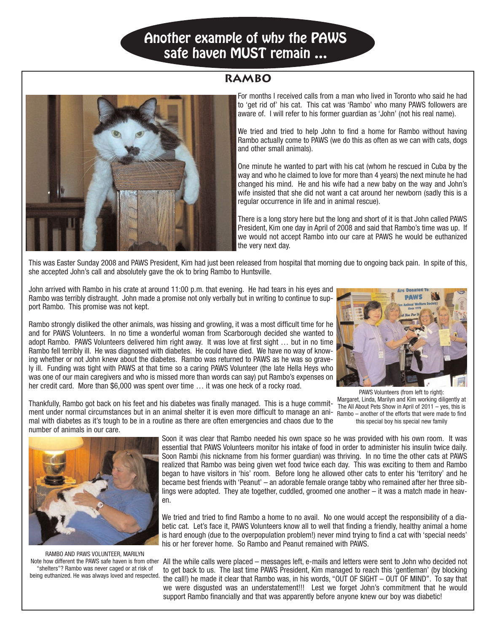# **Another example of why the PAWS safe haven MUST remain …**

#### **RAMBO**



For months I received calls from a man who lived in Toronto who said he had to 'get rid of' his cat. This cat was 'Rambo' who many PAWS followers are aware of. I will refer to his former guardian as 'John' (not his real name).

We tried and tried to help John to find a home for Rambo without having Rambo actually come to PAWS (we do this as often as we can with cats, dogs and other small animals).

One minute he wanted to part with his cat (whom he rescued in Cuba by the way and who he claimed to love for more than 4 years) the next minute he had changed his mind. He and his wife had a new baby on the way and John's wife insisted that she did not want a cat around her newborn (sadly this is a regular occurrence in life and in animal rescue).

There is a long story here but the long and short of it is that John called PAWS President, Kim one day in April of 2008 and said that Rambo's time was up. If we would not accept Rambo into our care at PAWS he would be euthanized the very next day.

This was Easter Sunday 2008 and PAWS President, Kim had just been released from hospital that morning due to ongoing back pain. In spite of this, she accepted John's call and absolutely gave the ok to bring Rambo to Huntsville.

John arrived with Rambo in his crate at around 11:00 p.m. that evening. He had tears in his eyes and Rambo was terribly distraught. John made a promise not only verbally but in writing to continue to support Rambo. This promise was not kept.

Rambo strongly disliked the other animals, was hissing and growling, it was a most difficult time for he and for PAWS Volunteers. In no time a wonderful woman from Scarborough decided she wanted to adopt Rambo. PAWS Volunteers delivered him right away. It was love at first sight … but in no time Rambo fell terribly ill. He was diagnosed with diabetes. He could have died. We have no way of knowing whether or not John knew about the diabetes. Rambo was returned to PAWS as he was so gravely ill. Funding was tight with PAWS at that time so a caring PAWS Volunteer (the late Hella Heys who was one of our main caregivers and who is missed more than words can say) put Rambo's expenses on her credit card. More than \$6,000 was spent over time … it was one heck of a rocky road.



PAWS Volunteers (from left to right): Margaret, Linda, Marilyn and Kim working diligently at The All About Pets Show in April of 2011 – yes, this is this special boy his special new family

Thankfully, Rambo got back on his feet and his diabetes was finally managed. This is a huge commitment under normal circumstances but in an animal shelter it is even more difficult to manage an ani-<br>Rambo – another of the efforts that were made to find mal with diabetes as it's tough to be in a routine as there are often emergencies and chaos due to the number of animals in our care.

Soon it was clear that Rambo needed his own space so he was provided with his own room. It was essential that PAWS Volunteers monitor his intake of food in order to administer his insulin twice daily. Soon Rambi (his nickname from his former guardian) was thriving. In no time the other cats at PAWS realized that Rambo was being given wet food twice each day. This was exciting to them and Rambo began to have visitors in 'his' room. Before long he allowed other cats to enter his 'territory' and he became best friends with 'Peanut' – an adorable female orange tabby who remained after her three siblings were adopted. They ate together, cuddled, groomed one another – it was a match made in heaven.

We tried and tried to find Rambo a home to no avail. No one would accept the responsibility of a diabetic cat. Let's face it, PAWS Volunteers know all to well that finding a friendly, healthy animal a home is hard enough (due to the overpopulation problem!) never mind trying to find a cat with 'special needs' his or her forever home. So Rambo and Peanut remained with PAWS.

All the while calls were placed – messages left, e-mails and letters were sent to John who decided not to get back to us. The last time PAWS President, Kim managed to reach this 'gentleman' (by blocking the call!) he made it clear that Rambo was, in his words, "OUT OF SIGHT – OUT OF MIND". To say that we were disgusted was an understatement!!! Lest we forget John's commitment that he would support Rambo financially and that was apparently before anyone knew our boy was diabetic!



RAMBO AND PAWS VOLUNTEER, MARILYN Note how different the PAWS safe haven is from other "shelters"? Rambo was never caged or at risk of being euthanized. He was always loved and respected.